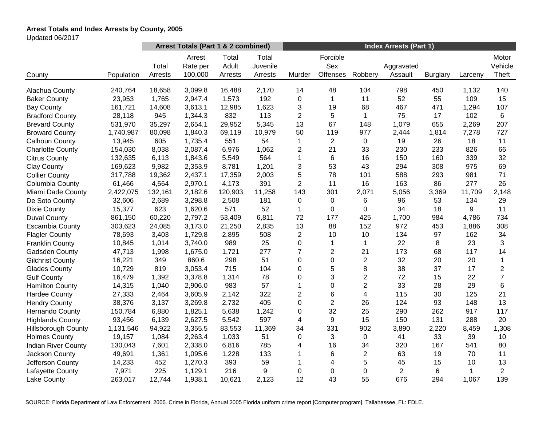# **Arrest Totals and Index Arrests by County, 2005**

Updated 06/2017

| Arrest Totals (Part 1 & 2 combined)<br><b>Index Arrests (Part 1)</b>                                                                                                                                                                              |                           |
|---------------------------------------------------------------------------------------------------------------------------------------------------------------------------------------------------------------------------------------------------|---------------------------|
| Forcible<br>Total<br>Total<br>Arrest<br>Sex<br>Adult<br>Juvenile<br>Total<br>Rate per<br>Aggravated<br>100,000<br>Offenses<br>Robbery<br>Assault<br>Murder<br>Population<br>Arrests<br>Arrests<br>Arrests<br><b>Burglary</b><br>Larceny<br>County | Motor<br>Vehicle<br>Theft |
|                                                                                                                                                                                                                                                   |                           |
| 240,764<br>18,658<br>3,099.8<br>2,170<br>14<br>48<br>104<br>798<br>450<br>1,132<br>Alachua County<br>16,488                                                                                                                                       | 140                       |
| 192<br>11<br>52<br>109<br>23,953<br>1,765<br>2,947.4<br>1,573<br>0<br>$\mathbf{1}$<br>55<br><b>Baker County</b>                                                                                                                                   | 15                        |
| 3,613.1<br>3<br>19<br>68<br><b>Bay County</b><br>161,721<br>14,608<br>12,985<br>1,623<br>467<br>471<br>1,294                                                                                                                                      | 107                       |
| 1,344.3<br>832<br>113<br>$\overline{2}$<br>5<br>$\mathbf{1}$<br>75<br>102<br><b>Bradford County</b><br>28,118<br>945<br>17                                                                                                                        | 6                         |
| 67<br>13<br>1,079<br>655<br>531,970<br>35,297<br>2,654.1<br>29,952<br>5,345<br>148<br>2,269<br><b>Brevard County</b>                                                                                                                              | 207                       |
| 977<br>80,098<br>1,840.3<br>69,119<br>10,979<br>50<br>119<br>2,444<br>1,814<br>7,278<br><b>Broward County</b><br>1,740,987                                                                                                                        | 727                       |
| 605<br>$\overline{2}$<br>Calhoun County<br>1,735.4<br>551<br>54<br>1<br>$\mathbf 0$<br>19<br>26<br>18<br>13,945                                                                                                                                   | 11                        |
| <b>Charlotte County</b><br>154,030<br>8,038<br>2,087.4<br>6,976<br>1,062<br>2<br>21<br>33<br>230<br>233<br>826                                                                                                                                    | 66                        |
| 564<br>$\mathbf{1}$<br>6<br>16<br>150<br>160<br>339<br><b>Citrus County</b><br>132,635<br>6,113<br>1,843.6<br>5,549                                                                                                                               | 32                        |
| 3<br>53<br>2,353.9<br>8,781<br>1,201<br>43<br>294<br>308<br>975<br><b>Clay County</b><br>169,623<br>9,982                                                                                                                                         | 69                        |
| 5<br>2,437.1<br>78<br>101<br>588<br>293<br>981<br><b>Collier County</b><br>317,788<br>19,362<br>17,359<br>2,003                                                                                                                                   | 71                        |
| $\overline{2}$<br>61,466<br>2,970.1<br>4,173<br>391<br>11<br>16<br>163<br>86<br>277<br>Columbia County<br>4,564                                                                                                                                   | 26                        |
| 2,422,075<br>132,161<br>2,182.6<br>11,258<br>143<br>301<br>2,071<br>5,056<br>3,369<br>11,709<br>Miami Dade County<br>120,903                                                                                                                      | 2,148                     |
| 3,298.8<br>181<br>$\mathbf 0$<br>$\mathbf 0$<br>6<br>96<br>53<br>134<br>De Soto County<br>32,606<br>2,689<br>2,508                                                                                                                                | 29                        |
| 623<br>1,620.6<br>571<br>52<br>0<br>34<br>9<br>15,377<br>1<br>0<br>18<br><b>Dixie County</b>                                                                                                                                                      | 11                        |
| 60,220<br>2,797.2<br>6,811<br>72<br>177<br>425<br>1,700<br>984<br>4,786<br>861,150<br>53,409<br><b>Duval County</b>                                                                                                                               | 734                       |
| 13<br>88<br>303,623<br>24,085<br>3,173.0<br>21,250<br>2,835<br>152<br>972<br>453<br>1,886<br><b>Escambia County</b>                                                                                                                               | 308                       |
| $\overline{2}$<br>10<br>10<br>97<br>162<br>78,693<br>3,403<br>1,729.8<br>2,895<br>508<br>134<br><b>Flagler County</b>                                                                                                                             | 34                        |
| 22<br>10,845<br>1,014<br>3,740.0<br>989<br>25<br>0<br>$\mathbf{1}$<br>$\mathbf 1$<br>8<br>23<br><b>Franklin County</b>                                                                                                                            | 3                         |
| 277<br>2<br>21<br>173<br>68<br>47,713<br>1,998<br>1,675.0<br>1,721<br>7<br>117<br>Gadsden County                                                                                                                                                  | 14                        |
| 298<br>51<br>0<br>$\overline{c}$<br>32<br>16,221<br>349<br>860.6<br>0<br>20<br>20<br><b>Gilchrist County</b>                                                                                                                                      | $\mathbf{1}$              |
| 3,053.4<br>715<br>5<br>8<br>38<br>37<br>10,729<br>819<br>104<br>0<br>17<br><b>Glades County</b>                                                                                                                                                   | $\overline{2}$            |
| 3<br>$\overline{2}$<br>72<br>16,479<br>1,392<br>3,378.8<br>1,314<br>78<br>0<br>15<br>22<br><b>Gulf County</b>                                                                                                                                     | $\overline{7}$            |
| 983<br>57<br>0<br>$\overline{2}$<br>33<br>28<br>29<br>14,315<br>1,040<br>2,906.0<br>1<br><b>Hamilton County</b>                                                                                                                                   | 6                         |
| $\overline{\mathbf{4}}$<br>322<br>$\overline{2}$<br>6<br>30<br>125<br>27,333<br>2,464<br>3,605.9<br>2,142<br>115<br><b>Hardee County</b>                                                                                                          | 21                        |
| $\overline{2}$<br>38,376<br>3,269.8<br>2,732<br>405<br>0<br>26<br>124<br>93<br>148<br>3,137<br><b>Hendry County</b>                                                                                                                               | 13                        |
| 32<br>150,784<br>1,825.1<br>5,638<br>0<br>25<br>290<br>262<br>917<br>6,880<br>1,242<br>Hernando County                                                                                                                                            | 117                       |
| 93,456<br>2,627.5<br>5,542<br>597<br>9<br>15<br>150<br>131<br>288<br>6,139<br>4<br><b>Highlands County</b>                                                                                                                                        | 20                        |
| 3,355.5<br>34<br>331<br>902<br>1,131,546<br>94,922<br>83,553<br>11,369<br>3,890<br>2,220<br>8,459<br><b>Hillsborough County</b>                                                                                                                   | 1,308                     |
| 2,263.4<br>1,033<br>51<br>0<br>3<br>$\mathbf 0$<br>41<br>33<br>39<br><b>Holmes County</b><br>19,157<br>1,084                                                                                                                                      | 10                        |
| 16<br>785<br>34<br>167<br><b>Indian River County</b><br>130,043<br>7,601<br>2,338.0<br>6,816<br>4<br>320<br>541                                                                                                                                   | 80                        |
| 1,228<br>133<br>6<br>2<br>63<br>19<br>70<br>Jackson County<br>49,691<br>1,361<br>1,095.6<br>1                                                                                                                                                     | 11                        |
| 5<br>$\overline{4}$<br>45<br>Jefferson County<br>452<br>1,270.3<br>393<br>59<br>15<br>10<br>14,233<br>1                                                                                                                                           | 13                        |
| 216<br>9<br>$\overline{2}$<br>6<br>7,971<br>225<br>1,129.1<br>0<br>0<br>0<br>Lafayette County<br>1                                                                                                                                                | $\overline{2}$            |
| 12<br>43<br>55<br>676<br>Lake County<br>263,017<br>1,938.1<br>10,621<br>2,123<br>294<br>1,067<br>12,744                                                                                                                                           | 139                       |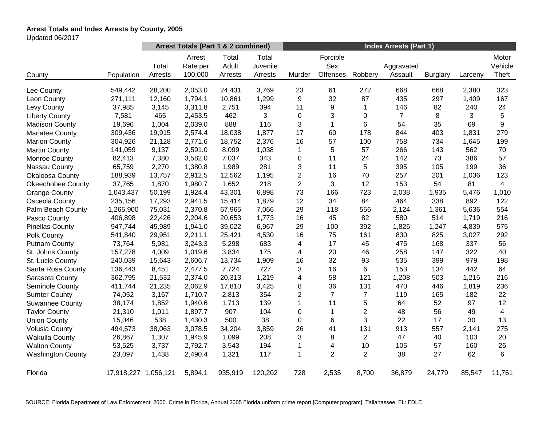# **Arrest Totals and Index Arrests by County, 2005**

Updated 06/2017

|                          |                      | Arrest Totals (Part 1 & 2 combined) |                               |                           |                              | <b>Index Arrests (Part 1)</b> |                             |                |                       |                 |         |                           |
|--------------------------|----------------------|-------------------------------------|-------------------------------|---------------------------|------------------------------|-------------------------------|-----------------------------|----------------|-----------------------|-----------------|---------|---------------------------|
| County                   | Population           | Total<br>Arrests                    | Arrest<br>Rate per<br>100,000 | Total<br>Adult<br>Arrests | Total<br>Juvenile<br>Arrests | Murder                        | Forcible<br>Sex<br>Offenses | Robbery        | Aggravated<br>Assault | <b>Burglary</b> | Larceny | Motor<br>Vehicle<br>Theft |
|                          |                      |                                     |                               |                           |                              |                               |                             |                |                       |                 |         |                           |
| Lee County               | 549,442              | 28,200                              | 2,053.0                       | 24,431                    | 3,769                        | 23                            | 61                          | 272            | 668                   | 668             | 2,380   | 323                       |
| Leon County              | 271,111              | 12,160                              | 1,794.1                       | 10,861                    | 1,299                        | 9                             | 32                          | 87             | 435                   | 297             | 1,409   | 167                       |
| Levy County              | 37,985               | 3,145                               | 3,311.8                       | 2,751                     | 394                          | 11                            | 9                           | 1              | 146                   | 82              | 240     | 24                        |
| <b>Liberty County</b>    | 7,581                | 465                                 | 2,453.5                       | 462                       | 3                            | 0                             | 3                           | 0              | $\overline{7}$        | 8               | 3       | 5                         |
| <b>Madison County</b>    | 19,696               | 1,004                               | 2,039.0                       | 888                       | 116                          | 3                             | $\mathbf{1}$                | 6              | 54                    | 35              | 69      | 9                         |
| <b>Manatee County</b>    | 309,436              | 19,915                              | 2,574.4                       | 18,038                    | 1,877                        | 17                            | 60                          | 178            | 844                   | 403             | 1,831   | 279                       |
| <b>Marion County</b>     | 304,926              | 21,128                              | 2,771.6                       | 18,752                    | 2,376                        | 16                            | 57                          | 100            | 758                   | 734             | 1,645   | 199                       |
| <b>Martin County</b>     | 141,059              | 9,137                               | 2,591.0                       | 8,099                     | 1,038                        | $\mathbf 1$                   | 5                           | 57             | 266                   | 143             | 562     | 70                        |
| Monroe County            | 82,413               | 7,380                               | 3,582.0                       | 7,037                     | 343                          | 0                             | 11                          | 24             | 142                   | 73              | 386     | 57                        |
| Nassau County            | 65,759               | 2,270                               | 1,380.8                       | 1,989                     | 281                          | 3                             | 11                          | 5              | 395                   | 105             | 199     | 36                        |
| <b>Okaloosa County</b>   | 188,939              | 13,757                              | 2,912.5                       | 12,562                    | 1,195                        | $\overline{c}$                | 16                          | 70             | 257                   | 201             | 1,036   | 123                       |
| <b>Okeechobee County</b> | 37,765               | 1,870                               | 1,980.7                       | 1,652                     | 218                          | $\overline{2}$                | 3                           | 12             | 153                   | 54              | 81      | $\overline{4}$            |
| <b>Orange County</b>     | 1,043,437            | 50,199                              | 1,924.4                       | 43,301                    | 6,898                        | 73                            | 166                         | 723            | 2,038                 | 1,935           | 5,476   | 1,010                     |
| Osceola County           | 235,156              | 17,293                              | 2,941.5                       | 15,414                    | 1,879                        | 12                            | 34                          | 84             | 464                   | 338             | 892     | 122                       |
| Palm Beach County        | 1,265,900            | 75,031                              | 2,370.8                       | 67,965                    | 7,066                        | 29                            | 118                         | 556            | 2,124                 | 1,361           | 5,636   | 554                       |
| Pasco County             | 406,898              | 22,426                              | 2,204.6                       | 20,653                    | 1,773                        | 16                            | 45                          | 82             | 580                   | 514             | 1,719   | 216                       |
| <b>Pinellas County</b>   | 947,744              | 45,989                              | 1,941.0                       | 39,022                    | 6,967                        | 29                            | 100                         | 392            | 1,826                 | 1,247           | 4,839   | 575                       |
| Polk County              | 541,840              | 29,951                              | 2,211.1                       | 25,421                    | 4,530                        | 16                            | 75                          | 161            | 830                   | 825             | 3,027   | 292                       |
| <b>Putnam County</b>     | 73,764               | 5,981                               | 3,243.3                       | 5,298                     | 683                          | 4                             | 17                          | 45             | 475                   | 168             | 337     | 56                        |
| St. Johns County         | 157,278              | 4,009                               | 1,019.6                       | 3,834                     | 175                          | 4                             | 20                          | 46             | 258                   | 147             | 322     | 40                        |
| St. Lucie County         | 240,039              | 15,643                              | 2,606.7                       | 13,734                    | 1,909                        | 16                            | 32                          | 93             | 535                   | 399             | 979     | 198                       |
| Santa Rosa County        | 136,443              | 8,451                               | 2,477.5                       | 7,724                     | 727                          | 3                             | 16                          | 6              | 153                   | 134             | 442     | 64                        |
| Sarasota County          | 362,795              | 21,532                              | 2,374.0                       | 20,313                    | 1,219                        | 4                             | 58                          | 121            | 1,208                 | 503             | 1,215   | 216                       |
| Seminole County          | 411,744              | 21,235                              | 2,062.9                       | 17,810                    | 3,425                        | 8                             | 36                          | 131            | 470                   | 446             | 1,819   | 236                       |
| <b>Sumter County</b>     | 74,052               | 3,167                               | 1,710.7                       | 2,813                     | 354                          | $\overline{2}$                | $\overline{7}$              | $\overline{7}$ | 119                   | 165             | 182     | 22                        |
| <b>Suwannee County</b>   | 38,174               | 1,852                               | 1,940.6                       | 1,713                     | 139                          | $\mathbf{1}$                  | 11                          | 5              | 64                    | 52              | 97      | 12                        |
| <b>Taylor County</b>     | 21,310               | 1,011                               | 1,897.7                       | 907                       | 104                          | 0                             | $\mathbf{1}$                | $\overline{2}$ | 48                    | 56              | 49      | $\overline{4}$            |
| <b>Union County</b>      | 15,046               | 538                                 | 1,430.3                       | 500                       | 38                           | 0                             | 6                           | 3              | 22                    | 17              | 30      | 13                        |
| <b>Volusia County</b>    | 494,573              | 38,063                              | 3,078.5                       | 34,204                    | 3,859                        | 26                            | 41                          | 131            | 913                   | 557             | 2,141   | 275                       |
| <b>Wakulla County</b>    | 26,867               | 1,307                               | 1,945.9                       | 1,099                     | 208                          | 3                             | 8                           | $\overline{c}$ | 47                    | 40              | 103     | 20                        |
| <b>Walton County</b>     | 53,525               | 3,737                               | 2,792.7                       | 3,543                     | 194                          | 1                             | 4                           | 10             | 105                   | 57              | 160     | 26                        |
| <b>Washington County</b> | 23,097               | 1,438                               | 2,490.4                       | 1,321                     | 117                          | 1                             | $\overline{2}$              | $\overline{2}$ | 38                    | 27              | 62      | 6                         |
| Florida                  | 17,918,227 1,056,121 |                                     | 5,894.1                       | 935,919                   | 120,202                      | 728                           | 2,535                       | 8,700          | 36,879                | 24,779          | 85,547  | 11,761                    |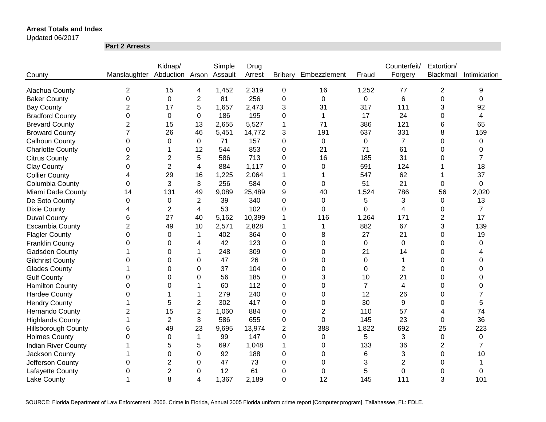Updated 06/2017

**Part 2 Arrests**

|                            |                              | Kidnap/        |                | Simple  | Drug   |                |                |                | Counterfeit/   | Extortion/     |                |
|----------------------------|------------------------------|----------------|----------------|---------|--------|----------------|----------------|----------------|----------------|----------------|----------------|
| County                     | Manslaughter Abduction Arson |                |                | Assault | Arrest | <b>Bribery</b> | Embezzlement   | Fraud          | Forgery        | Blackmail      | Intimidation   |
|                            |                              |                |                |         |        |                |                |                |                |                |                |
| Alachua County             | $\overline{c}$               | 15             | 4              | 1,452   | 2,319  | 0              | 16             | 1,252          | 77             | 2              | 9              |
| <b>Baker County</b>        | 0                            | $\mathbf 0$    | $\overline{c}$ | 81      | 256    | $\mathbf 0$    | $\mathbf 0$    | 0              | 6              | 0              | 0              |
| <b>Bay County</b>          | $\overline{2}$               | 17             | 5              | 1,657   | 2,473  | 3              | 31             | 317            | 111            | 3              | 92             |
| <b>Bradford County</b>     | 0                            | $\mathbf 0$    | 0              | 186     | 195    | 0              | 1              | 17             | 24             | 0              | 4              |
| <b>Brevard County</b>      | $\overline{2}$               | 15             | 13             | 2,655   | 5,527  | 1              | 71             | 386            | 121            | 6              | 65             |
| <b>Broward County</b>      | 7                            | 26             | 46             | 5,451   | 14,772 | 3              | 191            | 637            | 331            | 8              | 159            |
| <b>Calhoun County</b>      | 0                            | 0              | 0              | 71      | 157    | 0              | 0              | $\pmb{0}$      | $\overline{7}$ | 0              | 0              |
| <b>Charlotte County</b>    | 0                            |                | 12             | 544     | 853    | 0              | 21             | 71             | 61             | 0              | 0              |
| <b>Citrus County</b>       | $\overline{2}$               | $\overline{2}$ | 5              | 586     | 713    | 0              | 16             | 185            | 31             | 0              | 7              |
| <b>Clay County</b>         | 0                            | $\overline{2}$ | 4              | 884     | 1,117  | 0              | 0              | 591            | 124            |                | 18             |
| <b>Collier County</b>      | 4                            | 29             | 16             | 1,225   | 2,064  | 1              |                | 547            | 62             |                | 37             |
| Columbia County            | 0                            | 3              | 3              | 256     | 584    | 0              | 0              | 51             | 21             | 0              | 0              |
| Miami Dade County          | 14                           | 131            | 49             | 9,089   | 25,489 | 9              | 40             | 1,524          | 786            | 56             | 2,020          |
| De Soto County             | $\pmb{0}$                    | $\mathbf 0$    | 2              | 39      | 340    | 0              | 0              | 5              | 3              | 0              | 13             |
| <b>Dixie County</b>        | 4                            | 2              | 4              | 53      | 102    | 0              | $\Omega$       | 0              | 4              | 0              | $\overline{7}$ |
| <b>Duval County</b>        | 6                            | 27             | 40             | 5,162   | 10,399 | 1              | 116            | 1,264          | 171            | $\overline{c}$ | 17             |
| <b>Escambia County</b>     | $\overline{2}$               | 49             | 10             | 2,571   | 2,828  | 1              | 1              | 882            | 67             | 3              | 139            |
| <b>Flagler County</b>      | 0                            | $\Omega$       | 1              | 402     | 364    | 0              | 8              | 27             | 21             | 0              | 19             |
| <b>Franklin County</b>     | $\Omega$                     | 0              | 4              | 42      | 123    | $\overline{0}$ | $\Omega$       | $\mathbf 0$    | $\mathbf 0$    | 0              | $\Omega$       |
| Gadsden County             |                              | $\Omega$       |                | 248     | 309    | 0              | $\Omega$       | 21             | 14             | 0              |                |
| <b>Gilchrist County</b>    | 0                            | $\Omega$       | 0              | 47      | 26     | $\Omega$       | $\Omega$       | 0              | 1              | 0              | $\Omega$       |
| <b>Glades County</b>       |                              | $\Omega$       | 0              | 37      | 104    | 0              | $\Omega$       | $\Omega$       | $\overline{2}$ | 0              | $\Omega$       |
| <b>Gulf County</b>         | 0                            | 0              | 0              | 56      | 185    | 0              | 3              | 10             | 21             | 0              | $\Omega$       |
| <b>Hamilton County</b>     | 0                            | 0              |                | 60      | 112    | 0              | 0              | $\overline{7}$ | $\overline{4}$ | 0              | $\Omega$       |
| <b>Hardee County</b>       | 0                            |                |                | 279     | 240    | 0              | 0              | 12             | 26             | 0              | 7              |
| <b>Hendry County</b>       |                              | 5              | $\overline{2}$ | 302     | 417    | 0              | 0              | 30             | 9              | 0              | 5              |
| <b>Hernando County</b>     | 2                            | 15             | $\overline{c}$ | 1,060   | 884    | 0              | $\overline{2}$ | 110            | 57             | 4              | 74             |
| <b>Highlands County</b>    |                              | $\overline{2}$ | 3              | 586     | 655    | 0              | 0              | 145            | 23             | 0              | 36             |
| <b>Hillsborough County</b> | 6                            | 49             | 23             | 9,695   | 13,974 | 2              | 388            | 1,822          | 692            | 25             | 223            |
| <b>Holmes County</b>       | 0                            | 0              | 1              | 99      | 147    | 0              | 0              | 5              | 3              | 0              | 0              |
| <b>Indian River County</b> |                              | 5              | 5              | 697     | 1,048  | 1              | 0              | 133            | 36             | $\overline{2}$ | 7              |
| Jackson County             |                              | 0              | 0              | 92      | 188    | 0              | 0              | 6              | 3              | 0              | 10             |
| Jefferson County           | 0                            | $\overline{2}$ | 0              | 47      | 73     | 0              | 0              | 3              | $\overline{2}$ | 0              |                |
| Lafayette County           | 0                            | $\overline{2}$ | 0              | 12      | 61     | 0              | 0              | 5              | 0              | 0              | 0              |
| <b>Lake County</b>         |                              | 8              | 4              | 1,367   | 2,189  | $\overline{0}$ | 12             | 145            | 111            | 3              | 101            |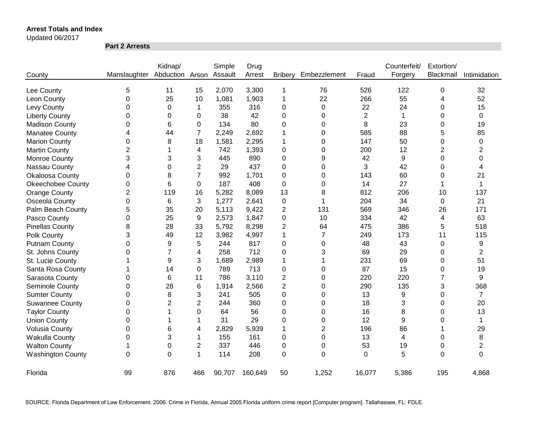#### Updated 06/2017

**Part 2 Arrests**

|                          |                                      | Kidnap/        |                | Simple | Drug    |                |                |                | Counterfeit/   | Extortion/     |                |
|--------------------------|--------------------------------------|----------------|----------------|--------|---------|----------------|----------------|----------------|----------------|----------------|----------------|
| County                   | Manslaughter Abduction Arson Assault |                |                |        | Arrest  | <b>Bribery</b> | Embezzlement   | Fraud          | Forgery        | Blackmail      | Intimidation   |
|                          |                                      |                |                |        |         |                |                |                |                |                |                |
| Lee County               | 5                                    | 11             | 15             | 2,070  | 3,300   | 1              | 76             | 526            | 122            | 0              | 32             |
| Leon County              | 0                                    | 25             | 10             | 1,081  | 1,903   | 1              | 22             | 266            | 55             | 4              | 52             |
| Levy County              | 0                                    | $\pmb{0}$      | 1              | 355    | 316     | 0              | 0              | 22             | 24             | 0              | 15             |
| <b>Liberty County</b>    | 0                                    | 0              | 0              | 38     | 42      | 0              | 0              | $\overline{c}$ | $\mathbf{1}$   | 0              | 0              |
| <b>Madison County</b>    | 0                                    | 6              | $\Omega$       | 134    | 80      | 0              | 0              | 8              | 23             | 0              | 19             |
| <b>Manatee County</b>    | 4                                    | 44             | $\overline{7}$ | 2,249  | 2,692   | 1              | 0              | 585            | 88             | 5              | 85             |
| <b>Marion County</b>     | 0                                    | 8              | 18             | 1,581  | 2,295   | 1              | 0              | 147            | 50             | 0              | 0              |
| <b>Martin County</b>     | $\overline{2}$                       |                | 4              | 742    | 1,393   | 0              | 0              | 200            | 12             | $\overline{2}$ | $\overline{c}$ |
| Monroe County            | 3                                    | 3              | 3              | 445    | 890     | 0              | 9              | 42             | 9              | 0              | 0              |
| Nassau County            | 4                                    | 0              | $\overline{2}$ | 29     | 437     | 0              | 0              | 3              | 42             | 0              | 4              |
| Okaloosa County          | 0                                    | 8              | $\overline{7}$ | 992    | 1,701   | 0              | 0              | 143            | 60             | 0              | 21             |
| <b>Okeechobee County</b> | 0                                    | 6              | 0              | 187    | 408     | 0              | 0              | 14             | 27             |                | 1              |
| <b>Orange County</b>     | $\overline{2}$                       | 119            | 16             | 5,282  | 8,089   | 13             | 8              | 812            | 206            | 10             | 137            |
| Osceola County           | 0                                    | 6              | 3              | 1,277  | 2,641   | 0              | 1              | 204            | 34             | $\mathbf 0$    | 21             |
| Palm Beach County        | 5                                    | 35             | 20             | 5,113  | 9,422   | $\overline{2}$ | 131            | 569            | 346            | 26             | 171            |
| Pasco County             | 0                                    | 25             | 9              | 2,573  | 1,847   | 0              | 10             | 334            | 42             | 4              | 63             |
| <b>Pinellas County</b>   | 8                                    | 28             | 33             | 5,792  | 8,298   | 2              | 64             | 475            | 386            | 5              | 518            |
| Polk County              | 3                                    | 49             | 12             | 3,982  | 4,997   | 1              | $\overline{7}$ | 249            | 173            | 11             | 115            |
| <b>Putnam County</b>     | 0                                    | 9              | 5              | 244    | 817     | 0              | 0              | 48             | 43             | 0              | 9              |
| St. Johns County         | 0                                    | 7              | 4              | 258    | 712     | 0              | 3              | 69             | 29             | 0              | $\overline{2}$ |
| St. Lucie County         |                                      | 9              | 3              | 1,689  | 2,989   | 1              | 1              | 231            | 69             | 0              | 51             |
| Santa Rosa County        |                                      | 14             | 0              | 789    | 713     | 0              | 0              | 87             | 15             | 0              | 19             |
| Sarasota County          | 0                                    | 6              | 11             | 786    | 3,110   | 2              | 0              | 220            | 220            | $\overline{7}$ | 9              |
| Seminole County          | 0                                    | 28             | 6              | 1,914  | 2,566   | $\overline{c}$ | 0              | 290            | 135            | 3              | 368            |
| <b>Sumter County</b>     | 0                                    | 8              | 3              | 241    | 505     | 0              | 0              | 13             | 9              | 0              | $\overline{7}$ |
| <b>Suwannee County</b>   | 0                                    | $\overline{2}$ | $\overline{2}$ | 244    | 360     | 0              | 0              | 18             | 3              | 0              | 20             |
| <b>Taylor County</b>     | 0                                    |                | 0              | 64     | 56      | 0              | 0              | 16             | 8              | 0              | 13             |
| <b>Union County</b>      | 0                                    |                | 1              | 31     | 29      | 0              | 0              | 12             | 9              | 0              | 1              |
| <b>Volusia County</b>    | 0                                    | 6              | 4              | 2,829  | 5,939   | 1              | $\overline{2}$ | 196            | 86             |                | 29             |
| Wakulla County           | 0                                    | 3              | 1              | 155    | 161     | 0              | 0              | 13             | $\overline{4}$ | 0              | 8              |
| <b>Walton County</b>     | 1                                    | 0              | 2              | 337    | 446     | 0              | 0              | 53             | 19             | 0              | $\overline{2}$ |
| <b>Washington County</b> | 0                                    | $\Omega$       | 1              | 114    | 208     | $\mathbf 0$    | $\Omega$       | $\mathbf 0$    | 5              | 0              | $\mathbf 0$    |
| Florida                  | 99                                   | 876            | 466            | 90,707 | 160,649 | 50             | 1,252          | 16,077         | 5,386          | 195            | 4,868          |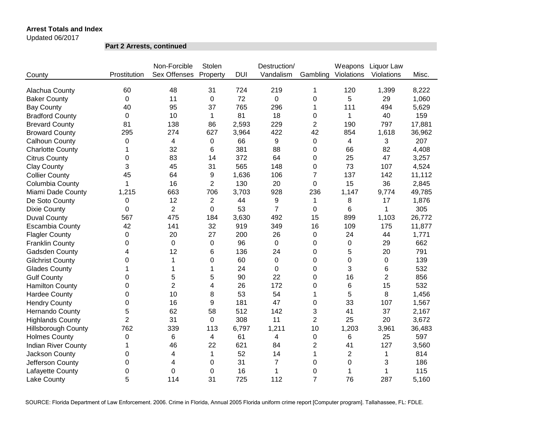Updated 06/2017

**Part 2 Arrests, continued**

|                            |                | Non-Forcible   | Stolen         |            | Destruction/   |                | Weapons        | Liquor Law     |        |
|----------------------------|----------------|----------------|----------------|------------|----------------|----------------|----------------|----------------|--------|
| County                     | Prostitution   | Sex Offenses   | Property       | <b>DUI</b> | Vandalism      | Gambling       | Violations     | Violations     | Misc.  |
| Alachua County             | 60             | 48             | 31             | 724        | 219            | 1              | 120            | 1,399          | 8,222  |
| <b>Baker County</b>        | 0              | 11             | 0              | 72         | 0              | 0              | 5              | 29             | 1,060  |
| <b>Bay County</b>          | 40             | 95             | 37             | 765        | 296            | 1              | 111            | 494            | 5,629  |
| <b>Bradford County</b>     | 0              | 10             | 1              | 81         | 18             | 0              | 1              | 40             | 159    |
| <b>Brevard County</b>      | 81             | 138            | 86             | 2,593      | 229            | $\overline{2}$ | 190            | 797            | 17,881 |
| <b>Broward County</b>      | 295            | 274            | 627            | 3,964      | 422            | 42             | 854            | 1,618          | 36,962 |
| Calhoun County             | 0              | 4              | 0              | 66         | 9              | 0              | 4              | 3              | 207    |
| <b>Charlotte County</b>    | 1              | 32             | 6              | 381        | 88             | 0              | 66             | 82             | 4,408  |
| <b>Citrus County</b>       | 0              | 83             | 14             | 372        | 64             | 0              | 25             | 47             | 3,257  |
| <b>Clay County</b>         | 3              | 45             | 31             | 565        | 148            | 0              | 73             | 107            | 4,524  |
| <b>Collier County</b>      | 45             | 64             | 9              | 1,636      | 106            | $\overline{7}$ | 137            | 142            | 11,112 |
| Columbia County            | 1              | 16             | $\overline{2}$ | 130        | 20             | 0              | 15             | 36             | 2,845  |
| Miami Dade County          | 1,215          | 663            | 706            | 3,703      | 928            | 236            | 1,147          | 9,774          | 49,785 |
| De Soto County             | 0              | 12             | $\overline{2}$ | 44         | 9              | 1              | 8              | 17             | 1,876  |
| <b>Dixie County</b>        | 0              | $\overline{2}$ | 0              | 53         | $\overline{7}$ | 0              | 6              | 1              | 305    |
| <b>Duval County</b>        | 567            | 475            | 184            | 3,630      | 492            | 15             | 899            | 1,103          | 26,772 |
| <b>Escambia County</b>     | 42             | 141            | 32             | 919        | 349            | 16             | 109            | 175            | 11,877 |
| <b>Flagler County</b>      | 0              | 20             | 27             | 200        | 26             | 0              | 24             | 44             | 1,771  |
| <b>Franklin County</b>     | 0              | $\Omega$       | $\pmb{0}$      | 96         | $\pmb{0}$      | 0              | 0              | 29             | 662    |
| Gadsden County             | 4              | 12             | 6              | 136        | 24             | 0              | 5              | 20             | 791    |
| <b>Gilchrist County</b>    | $\Omega$       | 1              | $\mathbf 0$    | 60         | $\overline{0}$ | 0              | 0              | $\mathbf 0$    | 139    |
| <b>Glades County</b>       |                | 1              | 1              | 24         | $\mathbf 0$    | 0              | 3              | 6              | 532    |
| <b>Gulf County</b>         | $\Omega$       | 5              | 5              | 90         | 22             | 0              | 16             | $\overline{2}$ | 856    |
| <b>Hamilton County</b>     | 0              | $\overline{2}$ | 4              | 26         | 172            | 0              | 6              | 15             | 532    |
| <b>Hardee County</b>       | 0              | 10             | 8              | 53         | 54             | 1              | 5              | 8              | 1,456  |
| <b>Hendry County</b>       | 0              | 16             | 9              | 181        | 47             | 0              | 33             | 107            | 1,567  |
| <b>Hernando County</b>     | 5              | 62             | 58             | 512        | 142            | 3              | 41             | 37             | 2,167  |
| <b>Highlands County</b>    | $\overline{2}$ | 31             | 0              | 308        | 11             | $\overline{2}$ | 25             | 20             | 3,672  |
| <b>Hillsborough County</b> | 762            | 339            | 113            | 6,797      | 1,211          | 10             | 1,203          | 3,961          | 36,483 |
| <b>Holmes County</b>       | 0              | $\,6\,$        | 4              | 61         | 4              | 0              | 6              | 25             | 597    |
| <b>Indian River County</b> | 1              | 46             | 22             | 621        | 84             | 2              | 41             | 127            | 3,560  |
| Jackson County             | 0              | 4              | 1              | 52         | 14             | 1              | $\overline{2}$ | 1              | 814    |
| Jefferson County           | $\mathbf 0$    | 4              | 0              | 31         | $\overline{7}$ | 0              | 0              | 3              | 186    |
| Lafayette County           | 0              | $\mathbf 0$    | 0              | 16         | $\mathbf{1}$   | 0              | 1              | 1              | 115    |
| Lake County                | 5              | 114            | 31             | 725        | 112            | $\overline{7}$ | 76             | 287            | 5,160  |